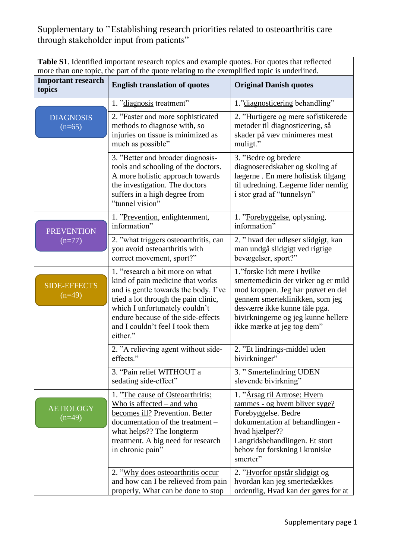**Table S1**. Identified important research topics and example quotes. For quotes that reflected more than one topic, the part of the quote relating to the exemplified topic is underlined.

|                                     | more man one topic, the part of the quote relating to the exemplified topic is underlined.                                                                                                                                                                                 |                                                                                                                                                                                                                                                    |
|-------------------------------------|----------------------------------------------------------------------------------------------------------------------------------------------------------------------------------------------------------------------------------------------------------------------------|----------------------------------------------------------------------------------------------------------------------------------------------------------------------------------------------------------------------------------------------------|
| <b>Important research</b><br>topics | <b>English translation of quotes</b>                                                                                                                                                                                                                                       | <b>Original Danish quotes</b>                                                                                                                                                                                                                      |
|                                     | 1. "diagnosis treatment"                                                                                                                                                                                                                                                   | 1."diagnosticering behandling"                                                                                                                                                                                                                     |
| <b>DIAGNOSIS</b><br>$(n=65)$        | 2. "Faster and more sophisticated<br>methods to diagnose with, so<br>injuries on tissue is minimized as<br>much as possible"                                                                                                                                               | 2. "Hurtigere og mere sofistikerede<br>metoder til diagnosticering, så<br>skader på væv minimeres mest<br>muligt."                                                                                                                                 |
|                                     | 3. "Better and broader diagnosis-<br>tools and schooling of the doctors.<br>A more holistic approach towards<br>the investigation. The doctors<br>suffers in a high degree from<br>"tunnel vision"                                                                         | 3. "Bedre og bredere<br>diagnoseredskaber og skoling af<br>lægerne. En mere holistisk tilgang<br>til udredning. Lægerne lider nemlig<br>i stor grad af "tunnelsyn"                                                                                 |
| <b>PREVENTION</b><br>$(n=77)$       | 1. "Prevention, enlightenment,<br>information"                                                                                                                                                                                                                             | 1. "Forebyggelse, oplysning,<br>information"                                                                                                                                                                                                       |
|                                     | 2. "what triggers osteoarthritis, can<br>you avoid osteoarthritis with<br>correct movement, sport?"                                                                                                                                                                        | 2. " hvad der udløser slidgigt, kan<br>man undgå slidgigt ved rigtige<br>bevægelser, sport?"                                                                                                                                                       |
| <b>SIDE-EFFECTS</b><br>$(n=49)$     | 1. "research a bit more on what<br>kind of pain medicine that works<br>and is gentle towards the body. I've<br>tried a lot through the pain clinic,<br>which I unfortunately couldn't<br>endure because of the side-effects<br>and I couldn't feel I took them<br>either." | 1."forske lidt mere i hvilke<br>smertemedicin der virker og er mild<br>mod kroppen. Jeg har prøvet en del<br>gennem smerteklinikken, som jeg<br>desværre ikke kunne tåle pga.<br>bivirkningerne og jeg kunne hellere<br>ikke mærke at jeg tog dem" |
|                                     | 2. "A relieving agent without side-<br>effects."                                                                                                                                                                                                                           | 2. "Et lindrings-middel uden<br>bivirkninger"                                                                                                                                                                                                      |
|                                     | 3. "Pain relief WITHOUT a<br>sedating side-effect"                                                                                                                                                                                                                         | 3. "Smertelindring UDEN<br>sløvende bivirkning"                                                                                                                                                                                                    |
| <b>AETIOLOGY</b><br>$(n=49)$        | 1. "The cause of Osteoarthritis:<br>Who is affected $-$ and who<br>becomes ill? Prevention. Better<br>documentation of the treatment -<br>what helps?? The longterm<br>treatment. A big need for research<br>in chronic pain"                                              | 1. "Årsag til Artrose: Hvem<br>rammes - og hvem bliver syge?<br>Forebyggelse. Bedre<br>dokumentation af behandlingen -<br>hvad hjælper??<br>Langtidsbehandlingen. Et stort<br>behov for forskning i kroniske<br>smerter"                           |
|                                     | 2. "Why does osteoarthritis occur<br>and how can I be relieved from pain<br>properly, What can be done to stop                                                                                                                                                             | 2. "Hvorfor opstår slidgigt og<br>hvordan kan jeg smertedækkes<br>ordentlig, Hvad kan der gøres for at                                                                                                                                             |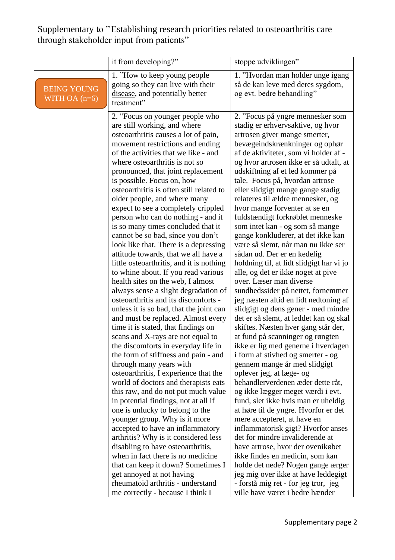| 1. "How to keep young people"<br>1. "Hyordan man holder unge igang<br>så de kan leve med deres sygdom,<br>going so they can live with their<br><b>BEING YOUNG</b><br>og evt. bedre behandling"<br>disease, and potentially better<br>WITH OA $(n=6)$<br>treatment"                                                                                                                                                                                                                                                                                                                                                                                                                                                                                                                                                                                                                                                                                                                                                                                                                                                                                                                                                                                                                                                                                                                                                                                                                                                                                                                                                                                                                                                                                                                                                                                                                                                                                                                                                                                                                                                                                                                                                                                                                                                                                                                                                                                                                                                                                                                                                                                                                                                                                                                                                                                                                                                                                                                                                                                                                                                                                                                                                                    |
|---------------------------------------------------------------------------------------------------------------------------------------------------------------------------------------------------------------------------------------------------------------------------------------------------------------------------------------------------------------------------------------------------------------------------------------------------------------------------------------------------------------------------------------------------------------------------------------------------------------------------------------------------------------------------------------------------------------------------------------------------------------------------------------------------------------------------------------------------------------------------------------------------------------------------------------------------------------------------------------------------------------------------------------------------------------------------------------------------------------------------------------------------------------------------------------------------------------------------------------------------------------------------------------------------------------------------------------------------------------------------------------------------------------------------------------------------------------------------------------------------------------------------------------------------------------------------------------------------------------------------------------------------------------------------------------------------------------------------------------------------------------------------------------------------------------------------------------------------------------------------------------------------------------------------------------------------------------------------------------------------------------------------------------------------------------------------------------------------------------------------------------------------------------------------------------------------------------------------------------------------------------------------------------------------------------------------------------------------------------------------------------------------------------------------------------------------------------------------------------------------------------------------------------------------------------------------------------------------------------------------------------------------------------------------------------------------------------------------------------------------------------------------------------------------------------------------------------------------------------------------------------------------------------------------------------------------------------------------------------------------------------------------------------------------------------------------------------------------------------------------------------------------------------------------------------------------------------------------------------|
| 2. "Focus på yngre mennesker som<br>2. "Focus on younger people who<br>are still working, and where<br>stadig er erhvervsaktive, og hvor<br>osteoarthritis causes a lot of pain,<br>artrosen giver mange smerter,<br>bevægeindskrænkninger og ophør<br>movement restrictions and ending<br>of the activities that we like - and<br>af de aktiviteter, som vi holder af -<br>where osteoarthritis is not so<br>og hvor artrosen ikke er så udtalt, at<br>udskiftning af et led kommer på<br>pronounced, that joint replacement<br>is possible. Focus on, how<br>tale. Focus på, hvordan artrose<br>osteoarthritis is often still related to<br>eller slidgigt mange gange stadig<br>older people, and where many<br>relateres til ældre mennesker, og<br>expect to see a completely crippled<br>hvor mange forventer at se en<br>person who can do nothing - and it<br>fuldstændigt forkrøblet menneske<br>is so many times concluded that it<br>som intet kan - og som så mange<br>cannot be so bad, since you don't<br>gange konkluderer, at det ikke kan<br>look like that. There is a depressing<br>være så slemt, når man nu ikke ser<br>attitude towards, that we all have a<br>sådan ud. Der er en kedelig<br>little osteoarthritis, and it is nothing<br>holdning til, at lidt slidgigt har vi jo<br>to whine about. If you read various<br>alle, og det er ikke noget at pive<br>health sites on the web, I almost<br>over. Læser man diverse<br>sundhedssider på nettet, fornemmer<br>always sense a slight degradation of<br>osteoarthritis and its discomforts -<br>jeg næsten altid en lidt nedtoning af<br>slidgigt og dens gener - med mindre<br>unless it is so bad, that the joint can<br>det er så slemt, at leddet kan og skal<br>and must be replaced. Almost every<br>skiftes. Næsten hver gang står der,<br>time it is stated, that findings on<br>scans and X-rays are not equal to<br>at fund på scanninger og røngten<br>the discomforts in everyday life in<br>ikke er lig med generne i hverdagen<br>the form of stiffness and pain - and<br>i form af stivhed og smerter - og<br>through many years with<br>gennem mange år med slidgigt<br>osteoarthritis, I experience that the<br>oplever jeg, at læge- og<br>world of doctors and therapists eats<br>behandlerverdenen æder dette råt,<br>this raw, and do not put much value<br>og ikke lægger meget værdi i evt.<br>in potential findings, not at all if<br>fund, slet ikke hvis man er uheldig<br>one is unlucky to belong to the<br>at høre til de yngre. Hvorfor er det<br>younger group. Why is it more<br>mere accepteret, at have en<br>accepted to have an inflammatory<br>inflammatorisk gigt? Hvorfor anses<br>det for mindre invaliderende at<br>arthritis? Why is it considered less<br>disabling to have osteoarthritis,<br>have artrose, hvor der ovenikøbet<br>when in fact there is no medicine<br>ikke findes en medicin, som kan<br>that can keep it down? Sometimes I<br>holde det nede? Nogen gange ærger<br>jeg mig over ikke at have leddegigt<br>get annoyed at not having<br>rheumatoid arthritis - understand<br>- forstå mig ret - for jeg tror, jeg<br>me correctly - because I think I<br>ville have været i bedre hænder |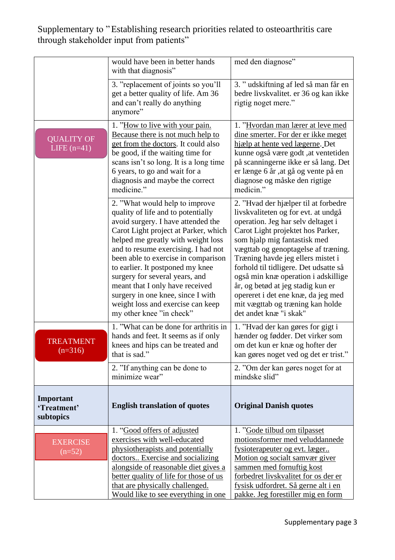|                                       | would have been in better hands<br>with that diagnosis"                                                                                                                                                                                                                                                                                                                                                                                                                               | med den diagnose"                                                                                                                                                                                                                                                                                                                                                                                                                                                                           |
|---------------------------------------|---------------------------------------------------------------------------------------------------------------------------------------------------------------------------------------------------------------------------------------------------------------------------------------------------------------------------------------------------------------------------------------------------------------------------------------------------------------------------------------|---------------------------------------------------------------------------------------------------------------------------------------------------------------------------------------------------------------------------------------------------------------------------------------------------------------------------------------------------------------------------------------------------------------------------------------------------------------------------------------------|
|                                       | 3. "replacement of joints so you'll<br>get a better quality of life. Am 36<br>and can't really do anything<br>anymore"                                                                                                                                                                                                                                                                                                                                                                | 3. "udskiftning af led så man får en<br>bedre livskvalitet. er 36 og kan ikke<br>rigtig noget mere."                                                                                                                                                                                                                                                                                                                                                                                        |
| <b>QUALITY OF</b><br>LIFE $(n=41)$    | 1. "How to live with your pain.<br>Because there is not much help to<br>get from the doctors. It could also<br>be good, if the waiting time for<br>scans isn't so long. It is a long time<br>6 years, to go and wait for a<br>diagnosis and maybe the correct<br>medicine."                                                                                                                                                                                                           | 1. "Hvordan man lærer at leve med<br>dine smerter. For der er ikke meget<br>hjælp at hente ved lægerne. Det<br>kunne også være godt , at ventetiden<br>på scanningerne ikke er så lang. Det<br>er længe 6 år ,at gå og vente på en<br>diagnose og måske den rigtige<br>medicin."                                                                                                                                                                                                            |
|                                       | 2. "What would help to improve<br>quality of life and to potentially<br>avoid surgery. I have attended the<br>Carot Light project at Parker, which<br>helped me greatly with weight loss<br>and to resume exercising. I had not<br>been able to exercise in comparison<br>to earlier. It postponed my knee<br>surgery for several years, and<br>meant that I only have received<br>surgery in one knee, since I with<br>weight loss and exercise can keep<br>my other knee "in check" | 2. "Hvad der hjælper til at forbedre<br>livskvaliteten og for evt. at undgå<br>operation. Jeg har selv deltaget i<br>Carot Light projektet hos Parker,<br>som hjalp mig fantastisk med<br>vægttab og genoptagelse af træning.<br>Træning havde jeg ellers mistet i<br>forhold til tidligere. Det udsatte så<br>også min knæ operation i adskillige<br>år, og betød at jeg stadig kun er<br>opereret i det ene knæ, da jeg med<br>mit vægttab og træning kan holde<br>det andet knæ "i skak" |
| <b>TREATMENT</b><br>$(n=316)$         | 1. "What can be done for arthritis in<br>hands and feet. It seems as if only<br>knees and hips can be treated and<br>that is sad."                                                                                                                                                                                                                                                                                                                                                    | 1. "Hvad der kan gøres for gigt i<br>hænder og fødder. Det virker som<br>om det kun er knæ og hofter der<br>kan gøres noget ved og det er trist."                                                                                                                                                                                                                                                                                                                                           |
|                                       | 2. "If anything can be done to<br>minimize wear"                                                                                                                                                                                                                                                                                                                                                                                                                                      | 2. "Om der kan gøres noget for at<br>mindske slid"                                                                                                                                                                                                                                                                                                                                                                                                                                          |
| Important<br>'Treatment'<br>subtopics | <b>English translation of quotes</b>                                                                                                                                                                                                                                                                                                                                                                                                                                                  | <b>Original Danish quotes</b>                                                                                                                                                                                                                                                                                                                                                                                                                                                               |
| <b>EXERCISE</b><br>$(n=52)$           | 1. "Good offers of adjusted<br>exercises with well-educated<br>physiotherapists and potentially<br>doctors Exercise and socializing<br>alongside of reasonable diet gives a<br>better quality of life for those of us<br>that are physically challenged.<br>Would like to see everything in one                                                                                                                                                                                       | 1. "Gode tilbud om tilpasset<br>motionsformer med veluddannede<br>fysioterapeuter og evt. læger<br>Motion og socialt samvær giver<br>sammen med fornuftig kost<br>forbedret livskvalitet for os der er<br>fysisk udfordret. Så gerne alt i en<br>pakke. Jeg forestiller mig en form                                                                                                                                                                                                         |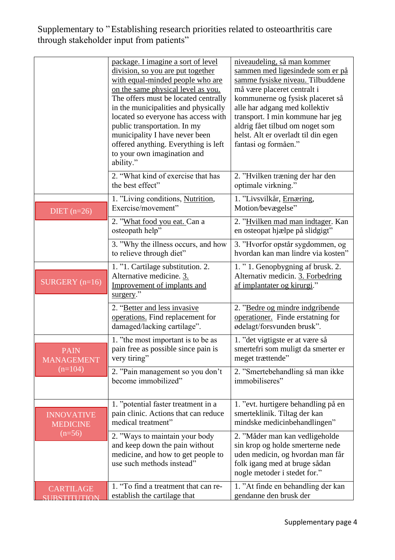|                                      | package. I imagine a sort of level<br>division, so you are put together<br>with equal-minded people who are<br>on the same physical level as you.<br>The offers must be located centrally<br>in the municipalities and physically<br>located so everyone has access with<br>public transportation. In my<br>municipality I have never been<br>offered anything. Everything is left<br>to your own imagination and<br>ability." | niveaudeling, så man kommer<br>sammen med ligesindede som er på<br>samme fysiske niveau. Tilbuddene<br>må være placeret centralt i<br>kommunerne og fysisk placeret så<br>alle har adgang med kollektiv<br>transport. I min kommune har jeg<br>aldrig fået tilbud om noget som<br>helst. Alt er overladt til din egen<br>fantasi og formåen." |
|--------------------------------------|--------------------------------------------------------------------------------------------------------------------------------------------------------------------------------------------------------------------------------------------------------------------------------------------------------------------------------------------------------------------------------------------------------------------------------|-----------------------------------------------------------------------------------------------------------------------------------------------------------------------------------------------------------------------------------------------------------------------------------------------------------------------------------------------|
|                                      | 2. "What kind of exercise that has<br>the best effect"                                                                                                                                                                                                                                                                                                                                                                         | 2. "Hvilken træning der har den<br>optimale virkning."                                                                                                                                                                                                                                                                                        |
| DIET $(n=26)$                        | 1. "Living conditions, Nutrition,<br>Exercise/movement"                                                                                                                                                                                                                                                                                                                                                                        | 1. "Livsvilkår, Ernæring,<br>Motion/bevægelse"                                                                                                                                                                                                                                                                                                |
|                                      | 2. "What food you eat. Can a<br>osteopath help"                                                                                                                                                                                                                                                                                                                                                                                | 2. "Hvilken mad man indtager. Kan<br>en osteopat hjælpe på slidgigt"                                                                                                                                                                                                                                                                          |
|                                      | 3. "Why the illness occurs, and how<br>to relieve through diet"                                                                                                                                                                                                                                                                                                                                                                | 3. "Hvorfor opstår sygdommen, og<br>hvordan kan man lindre via kosten"                                                                                                                                                                                                                                                                        |
| SURGERY $(n=16)$                     | 1. "1. Cartilage substitution. 2.<br>Alternative medicine. 3.<br>Improvement of implants and<br>surgery."                                                                                                                                                                                                                                                                                                                      | 1. "1. Genopbygning af brusk. 2.<br>Alternativ medicin. 3. Forbedring<br>af implantater og kirurgi."                                                                                                                                                                                                                                          |
|                                      | 2. "Better and less invasive<br>operations. Find replacement for<br>damaged/lacking cartilage".                                                                                                                                                                                                                                                                                                                                | 2. "Bedre og mindre indgribende<br>operationer. Finde erstatning for<br>ødelagt/forsvunden brusk".                                                                                                                                                                                                                                            |
| <b>PAIN</b><br><b>MANAGEMENT</b>     | 1. "the most important is to be as<br>pain free as possible since pain is<br>very tiring"                                                                                                                                                                                                                                                                                                                                      | 1. "det vigtigste er at være så<br>smertefri som muligt da smerter er<br>meget trættende"                                                                                                                                                                                                                                                     |
| $(n=104)$                            | 2. "Pain management so you don't<br>become immobilized"                                                                                                                                                                                                                                                                                                                                                                        | 2. "Smertebehandling så man ikke<br>immobiliseres"                                                                                                                                                                                                                                                                                            |
| <b>INNOVATIVE</b><br><b>MEDICINE</b> | 1. "potential faster treatment in a<br>pain clinic. Actions that can reduce<br>medical treatment"                                                                                                                                                                                                                                                                                                                              | 1. "evt. hurtigere behandling på en<br>smerteklinik. Tiltag der kan<br>mindske medicinbehandlingen"                                                                                                                                                                                                                                           |
| $(n=56)$                             | 2. "Ways to maintain your body<br>and keep down the pain without<br>medicine, and how to get people to<br>use such methods instead"                                                                                                                                                                                                                                                                                            | 2. "Måder man kan vedligeholde<br>sin krop og holde smerterne nede<br>uden medicin, og hvordan man får<br>folk igang med at bruge sådan<br>nogle metoder i stedet for."                                                                                                                                                                       |
| <b>CARTILAGE</b>                     | 1. "To find a treatment that can re-<br>establish the cartilage that                                                                                                                                                                                                                                                                                                                                                           | 1. "At finde en behandling der kan<br>gendanne den brusk der                                                                                                                                                                                                                                                                                  |